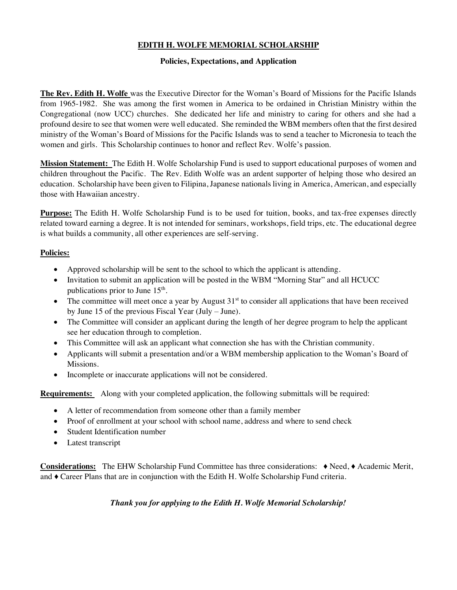## **EDITH H. WOLFE MEMORIAL SCHOLARSHIP**

### **Policies, Expectations, and Application**

**The Rev. Edith H. Wolfe** was the Executive Director for the Woman's Board of Missions for the Pacific Islands from 1965-1982. She was among the first women in America to be ordained in Christian Ministry within the Congregational (now UCC) churches. She dedicated her life and ministry to caring for others and she had a profound desire to see that women were well educated. She reminded the WBM members often that the first desired ministry of the Woman's Board of Missions for the Pacific Islands was to send a teacher to Micronesia to teach the women and girls. This Scholarship continues to honor and reflect Rev. Wolfe's passion.

**Mission Statement:** The Edith H. Wolfe Scholarship Fund is used to support educational purposes of women and children throughout the Pacific. The Rev. Edith Wolfe was an ardent supporter of helping those who desired an education. Scholarship have been given to Filipina, Japanese nationals living in America, American, and especially those with Hawaiian ancestry.

**Purpose:** The Edith H. Wolfe Scholarship Fund is to be used for tuition, books, and tax-free expenses directly related toward earning a degree. It is not intended for seminars, workshops, field trips, etc. The educational degree is what builds a community, all other experiences are self-serving.

### **Policies:**

- Approved scholarship will be sent to the school to which the applicant is attending.
- Invitation to submit an application will be posted in the WBM "Morning Star" and all HCUCC publications prior to June  $15<sup>th</sup>$ .
- The committee will meet once a year by August  $31<sup>st</sup>$  to consider all applications that have been received by June 15 of the previous Fiscal Year (July – June).
- The Committee will consider an applicant during the length of her degree program to help the applicant see her education through to completion.
- This Committee will ask an applicant what connection she has with the Christian community.
- Applicants will submit a presentation and/or a WBM membership application to the Woman's Board of Missions.
- Incomplete or inaccurate applications will not be considered.

**Requirements:** Along with your completed application, the following submittals will be required:

- A letter of recommendation from someone other than a family member
- Proof of enrollment at your school with school name, address and where to send check
- Student Identification number
- Latest transcript

**Considerations:** The EHW Scholarship Fund Committee has three considerations: ♦ Need, ♦ Academic Merit, and ♦ Career Plans that are in conjunction with the Edith H. Wolfe Scholarship Fund criteria.

*Thank you for applying to the Edith H. Wolfe Memorial Scholarship!*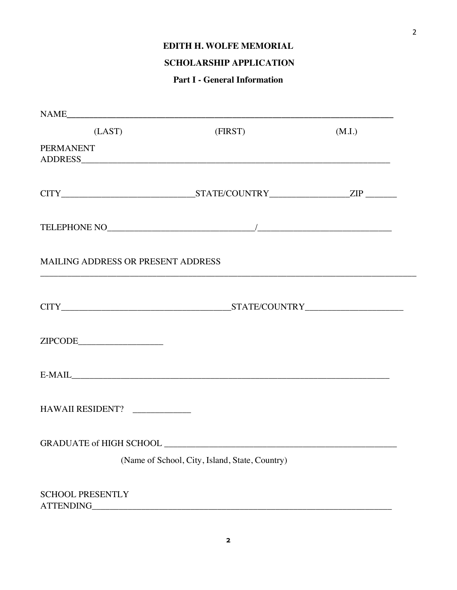### **EDITH H. WOLFE MEMORIAL**

# **SCHOLARSHIP APPLICATION**

## **Part I - General Information**

| (LAST)                                                                                                                                                                                                                                                                                                                                                                                                                                                                                                                                    | (FIRST)                                        | (M.I.) |
|-------------------------------------------------------------------------------------------------------------------------------------------------------------------------------------------------------------------------------------------------------------------------------------------------------------------------------------------------------------------------------------------------------------------------------------------------------------------------------------------------------------------------------------------|------------------------------------------------|--------|
| <b>PERMANENT</b>                                                                                                                                                                                                                                                                                                                                                                                                                                                                                                                          |                                                |        |
|                                                                                                                                                                                                                                                                                                                                                                                                                                                                                                                                           |                                                |        |
|                                                                                                                                                                                                                                                                                                                                                                                                                                                                                                                                           |                                                |        |
| MAILING ADDRESS OR PRESENT ADDRESS                                                                                                                                                                                                                                                                                                                                                                                                                                                                                                        |                                                |        |
|                                                                                                                                                                                                                                                                                                                                                                                                                                                                                                                                           |                                                |        |
| $\label{eq:2IPCODE} \begin{minipage}{0.9\linewidth} \textbf{ZIPCODE}\textbf{ \textcolor{red}{\textbf{2}}} \textbf{ \textcolor{red}{\textbf{2}}} \textbf{ \textcolor{red}{\textbf{3}}} \textbf{ \textcolor{red}{\textbf{4}}} \textbf{ \textcolor{red}{\textbf{5}}} \textbf{ \textcolor{red}{\textbf{6}}} \textbf{ \textcolor{red}{\textbf{7}}} \textbf{ \textcolor{red}{\textbf{8}}} \textbf{ \textcolor{red}{\textbf{9}}} \textbf{ \textcolor{red}{\textbf{9}}} \textbf{ \textcolor{red}{\textbf{9}}} \textbf{ \textcolor{red}{\textbf{9$ |                                                |        |
|                                                                                                                                                                                                                                                                                                                                                                                                                                                                                                                                           |                                                |        |
| HAWAII RESIDENT?                                                                                                                                                                                                                                                                                                                                                                                                                                                                                                                          |                                                |        |
| <b>GRADUATE of HIGH SCHOOL</b>                                                                                                                                                                                                                                                                                                                                                                                                                                                                                                            |                                                |        |
|                                                                                                                                                                                                                                                                                                                                                                                                                                                                                                                                           | (Name of School, City, Island, State, Country) |        |
| <b>SCHOOL PRESENTLY</b><br>ATTENDING                                                                                                                                                                                                                                                                                                                                                                                                                                                                                                      |                                                |        |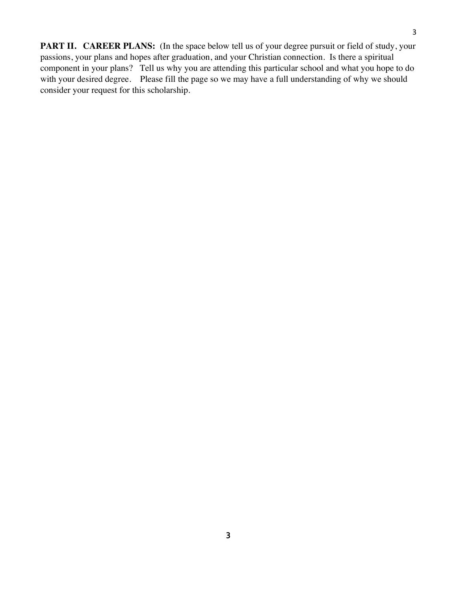**PART II. CAREER PLANS:** (In the space below tell us of your degree pursuit or field of study, your passions, your plans and hopes after graduation, and your Christian connection. Is there a spiritual

3

component in your plans? Tell us why you are attending this particular school and what you hope to do with your desired degree. Please fill the page so we may have a full understanding of why we should consider your request for this scholarship.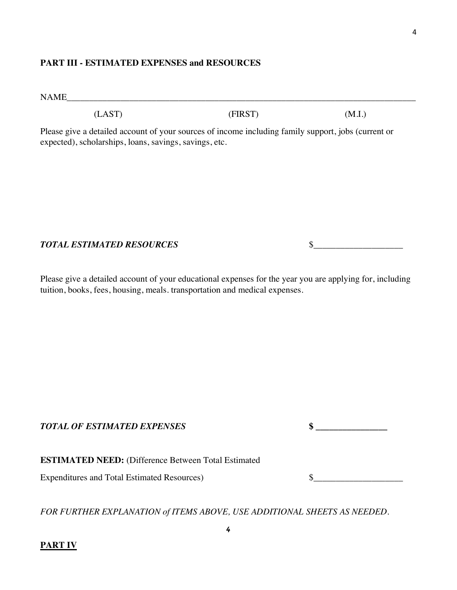## **PART III - ESTIMATED EXPENSES and RESOURCES**

NAME\_\_\_\_\_\_\_\_\_\_\_\_\_\_\_\_\_\_\_\_\_\_\_\_\_\_\_\_\_\_\_\_\_\_\_\_\_\_\_\_\_\_\_\_\_\_\_\_\_\_\_\_\_\_\_\_\_\_\_\_\_\_\_\_\_\_\_\_\_\_\_\_\_\_\_\_\_\_

 $(LAST)$  (FIRST)  $(M.I.)$ 

Please give a detailed account of your sources of income including family support, jobs (current or expected), scholarships, loans, savings, savings, etc.

*TOTAL ESTIMATED RESOURCES* \$\_\_\_\_\_\_\_\_\_\_\_\_\_\_\_\_\_\_\_\_

Please give a detailed account of your educational expenses for the year you are applying for, including tuition, books, fees, housing, meals. transportation and medical expenses.

*TOTAL OF ESTIMATED EXPENSES* **\$ \_\_\_\_\_\_\_\_\_\_\_\_\_\_\_\_**

**ESTIMATED NEED:** (Difference Between Total Estimated

Expenditures and Total Estimated Resources)  $\qquad \qquad$  \$

*FOR FURTHER EXPLANATION of ITEMS ABOVE, USE ADDITIONAL SHEETS AS NEEDED.*

**PART IV**